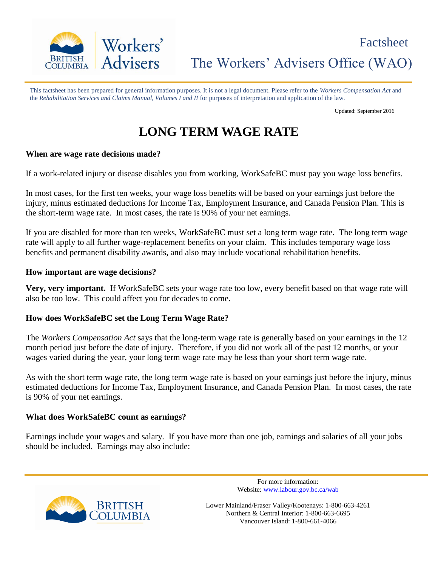

This factsheet has been prepared for general information purposes. It is not a legal document. Please refer to the *Workers Compensation Act* and the *Rehabilitation Services and Claims Manual, Volumes I and II* for purposes of interpretation and application of the law.

Updated: September 2016

# **LONG TERM WAGE RATE**

### **When are wage rate decisions made?**

If a work-related injury or disease disables you from working, WorkSafeBC must pay you wage loss benefits.

In most cases, for the first ten weeks, your wage loss benefits will be based on your earnings just before the injury, minus estimated deductions for Income Tax, Employment Insurance, and Canada Pension Plan. This is the short-term wage rate. In most cases, the rate is 90% of your net earnings.

If you are disabled for more than ten weeks, WorkSafeBC must set a long term wage rate. The long term wage rate will apply to all further wage-replacement benefits on your claim. This includes temporary wage loss benefits and permanent disability awards, and also may include vocational rehabilitation benefits.

### **How important are wage decisions?**

**Very, very important.** If WorkSafeBC sets your wage rate too low, every benefit based on that wage rate will also be too low. This could affect you for decades to come.

### **How does WorkSafeBC set the Long Term Wage Rate?**

The *Workers Compensation Act* says that the long-term wage rate is generally based on your earnings in the 12 month period just before the date of injury. Therefore, if you did not work all of the past 12 months, or your wages varied during the year, your long term wage rate may be less than your short term wage rate.

As with the short term wage rate, the long term wage rate is based on your earnings just before the injury, minus estimated deductions for Income Tax, Employment Insurance, and Canada Pension Plan. In most cases, the rate is 90% of your net earnings.

### **What does WorkSafeBC count as earnings?**

Earnings include your wages and salary. If you have more than one job, earnings and salaries of all your jobs should be included. Earnings may also include:



For more information: Website: www.labour.gov.bc.ca/wab

Lower Mainland/Fraser Valley/Kootenays: 1-800-663-4261 Northern & Central Interior: 1-800-663-6695 Vancouver Island: 1-800-661-4066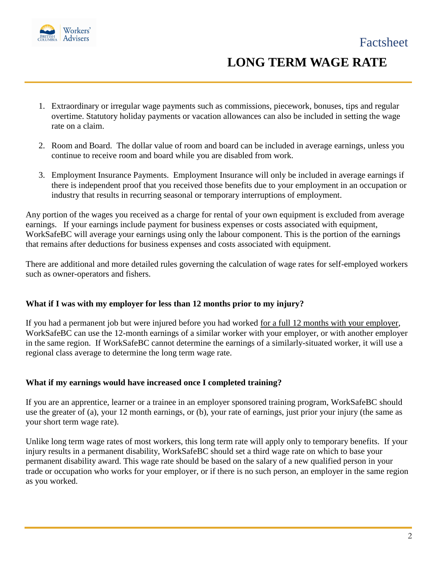

# **LONG TERM WAGE RATE**

- 1. Extraordinary or irregular wage payments such as commissions, piecework, bonuses, tips and regular overtime. Statutory holiday payments or vacation allowances can also be included in setting the wage rate on a claim.
- 2. Room and Board. The dollar value of room and board can be included in average earnings, unless you continue to receive room and board while you are disabled from work.
- 3. Employment Insurance Payments. Employment Insurance will only be included in average earnings if there is independent proof that you received those benefits due to your employment in an occupation or industry that results in recurring seasonal or temporary interruptions of employment.

Any portion of the wages you received as a charge for rental of your own equipment is excluded from average earnings. If your earnings include payment for business expenses or costs associated with equipment, WorkSafeBC will average your earnings using only the labour component. This is the portion of the earnings that remains after deductions for business expenses and costs associated with equipment.

There are additional and more detailed rules governing the calculation of wage rates for self-employed workers such as owner-operators and fishers.

### **What if I was with my employer for less than 12 months prior to my injury?**

If you had a permanent job but were injured before you had worked for a full 12 months with your employer, WorkSafeBC can use the 12-month earnings of a similar worker with your employer, or with another employer in the same region. If WorkSafeBC cannot determine the earnings of a similarly-situated worker, it will use a regional class average to determine the long term wage rate.

### **What if my earnings would have increased once I completed training?**

If you are an apprentice, learner or a trainee in an employer sponsored training program, WorkSafeBC should use the greater of (a), your 12 month earnings, or (b), your rate of earnings, just prior your injury (the same as your short term wage rate).

Unlike long term wage rates of most workers, this long term rate will apply only to temporary benefits. If your injury results in a permanent disability, WorkSafeBC should set a third wage rate on which to base your permanent disability award. This wage rate should be based on the salary of a new qualified person in your trade or occupation who works for your employer, or if there is no such person, an employer in the same region as you worked.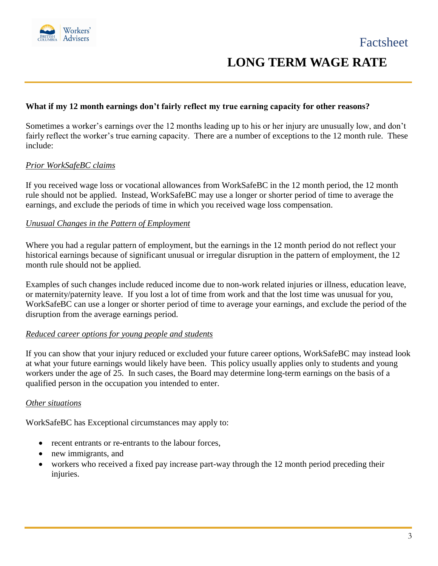

### **LONG TERM WAGE RATE**

### **What if my 12 month earnings don't fairly reflect my true earning capacity for other reasons?**

Sometimes a worker's earnings over the 12 months leading up to his or her injury are unusually low, and don't fairly reflect the worker's true earning capacity. There are a number of exceptions to the 12 month rule. These include:

### *Prior WorkSafeBC claims*

If you received wage loss or vocational allowances from WorkSafeBC in the 12 month period, the 12 month rule should not be applied. Instead, WorkSafeBC may use a longer or shorter period of time to average the earnings, and exclude the periods of time in which you received wage loss compensation.

### *Unusual Changes in the Pattern of Employment*

Where you had a regular pattern of employment, but the earnings in the 12 month period do not reflect your historical earnings because of significant unusual or irregular disruption in the pattern of employment, the 12 month rule should not be applied.

Examples of such changes include reduced income due to non-work related injuries or illness, education leave, or maternity/paternity leave. If you lost a lot of time from work and that the lost time was unusual for you, WorkSafeBC can use a longer or shorter period of time to average your earnings, and exclude the period of the disruption from the average earnings period.

### *Reduced career options for young people and students*

If you can show that your injury reduced or excluded your future career options, WorkSafeBC may instead look at what your future earnings would likely have been. This policy usually applies only to students and young workers under the age of 25. In such cases, the Board may determine long-term earnings on the basis of a qualified person in the occupation you intended to enter.

### *Other situations*

WorkSafeBC has Exceptional circumstances may apply to:

- recent entrants or re-entrants to the labour forces,
- new immigrants, and
- workers who received a fixed pay increase part-way through the 12 month period preceding their injuries.